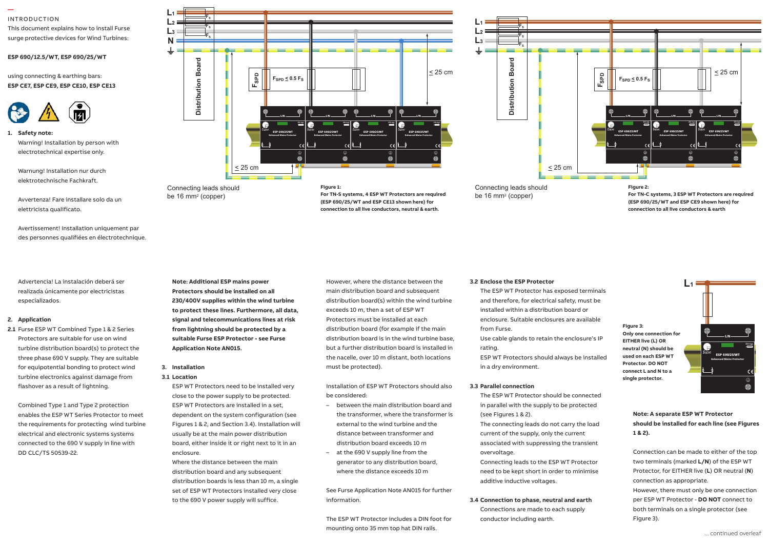#### INTRODUCTION

**—** 

This document explains how to install Furse surge protective devices for Wind Turbines:

## **ESP 690/12.5/WT, ESP 690/25/WT** Installation instructions

using connecting & earthing bars: **ESP CE7, ESP CE9, ESP CE10, ESP CE13**



**1. Safety note:** Safety note: Warning! Installation by person with electrotechnical expertise only.  $\mathbf{a}$  on the closest available out going way to  $\mathbf{b}$ 

Warnung! Installation nur durch elektrotechnische Fachkraft. 1.7 The connecting leads to phase/live

Avvertenza! Fare installare solo da un elettricista qualificato. Especial control of production should be

Avertissement! Installation uniquement par des personnes qualifiées en électrotechnique.

terminals showld be surface  $\mathbf t$ 

**L1 L2 L3 N**

Advertencia! La instalación deberá ser especializados.

#### **2. Application**

2.1 Furse ESP WT Combined Type 1 & 2 Series **from the installer in parallel** Protectors are suitable for use on wind turbine distribution board(s) to protect the three phase 690 V supply. They are suitable for equipotential bonding to protect wind turbine electronics against damage from flashover as a result of lightning.

Combined Type 1 and Type 2 protection enables the ESP WT Series Protector to meet the requirements for protecting wind turbine electrical and electronic systems systems connected to the 690 V supply in line with DD CLC/TS 50539-22.



**For TN-S systems, 4 ESP WT Protectors are required (ESP 690/25/WT and ESP CE13 shown here) for connection to all live conductors, neutral & earth.**



Connecting leads should be 16 mm2 (copper)

**L1**  $\mathbf{L}$ 

> **Figure 2: For TN-C systems, 3 ESP WT Protectors are required (ESP 690/25/WT and ESP CE9 shown here) for connection to all live conductors & earth**

> > **L1**

realizada únicamente por electricistas **Protected**  2.9Nm, wire stripping length 17mm. 1.12 Maximum torque for remote contact is

**Protectors should be installed on all 230/400V supplies within the wind turbine to protect these lines. Furthermore, all data, signal and telecommunications lines at risk from lightning should be protected by a suitable Furse ESP Protector - see Furse Application Note AN015.** 

**Note: Additional ESP mains power** 

be 16 mm2 (copper)

#### **3. Installation 3.1 Location**

ESP WT Protectors need to be installed very close to the power supply to be protected. ESP WT Protectors are installed in a set, dependent on the system configuration (see Figures 1 & 2, and Section 3.4). Installation will usually be at the main power distribution board, either inside it or right next to it in an enclosure.

Where the distance between the main distribution board and any subsequent distribution boards is less than 10 m, a single set of ESP WT Protectors installed very close to the 690 V power supply will suffice.

However, where the distance between the main distribution board and subsequent distribution board(s) within the wind turbine exceeds 10 m, then a set of ESP WT Protectors must be installed at each distribution board (for example if the main distribution board is in the wind turbine base, but a further distribution board is installed in the nacelle, over 10 m distant, both locations must be protected).

Installation of ESP WT Protectors should also be considered:

- between the main distribution board and the transformer, where the transformer is external to the wind turbine and the distance between transformer and distribution board exceeds 10 m
- at the 690 V supply line from the generator to any distribution board, where the distance exceeds 10 m

See Furse Application Note AN015 for further information.

The ESP WT Protector includes a DIN foot for mounting onto 35 mm top hat DIN rails.

#### **3.2 Enclose the ESP Protector**

The ESP WT Protector has exposed terminals and therefore, for electrical safety, must be installed within a distribution board or enclosure. Suitable enclosures are available from Furse. Use cable glands to retain the enclosure's IP rating. ESP WT Protectors should always be installed

in a dry environment.

#### **3.3 Parallel connection**

The ESP WT Protector should be connected in parallel with the supply to be protected (see Figures 1 & 2).

The connecting leads do not carry the load current of the supply, only the current associated with suppressing the transient overvoltage.

Connecting leads to the ESP WT Protector need to be kept short in order to minimise additive inductive voltages.

### **3.4 Connection to phase, neutral and earth** Connections are made to each supply conductor including earth.



**Note: A separate ESP WT Protector should be installed for each line (see Figures 1 & 2).**

Connection can be made to either of the top two terminals (marked **L/N**) of the ESP WT Protector, for EITHER live (**L**) OR neutral (**N**) connection as appropriate. However, there must only be one connection per ESP WT Protector - **DO NOT** connect to both terminals on a single protector (see Figure 3).

ESP 690/25/WT L/N

£

**250 AgL**

 $\epsilon$  $\oplus$ 

Enhanced Mains Protector